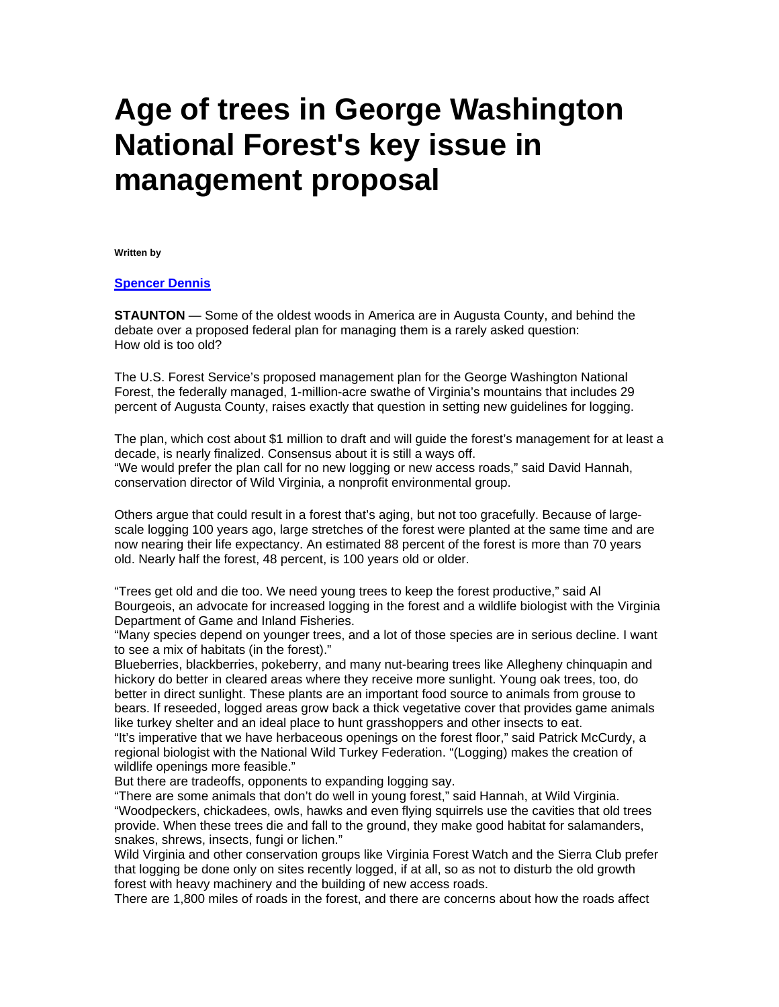## **Age of trees in George Washington National Forest's key issue in management proposal**

**Written by** 

## **[Spencer Dennis](mailto:sdennis@newsleader.com)**

**STAUNTON** — Some of the oldest woods in America are in Augusta County, and behind the debate over a proposed federal plan for managing them is a rarely asked question: How old is too old?

The U.S. Forest Service's proposed management plan for the George Washington National Forest, the federally managed, 1-million-acre swathe of Virginia's mountains that includes 29 percent of Augusta County, raises exactly that question in setting new guidelines for logging.

The plan, which cost about \$1 million to draft and will guide the forest's management for at least a decade, is nearly finalized. Consensus about it is still a ways off.

"We would prefer the plan call for no new logging or new access roads," said David Hannah, conservation director of Wild Virginia, a nonprofit environmental group.

Others argue that could result in a forest that's aging, but not too gracefully. Because of largescale logging 100 years ago, large stretches of the forest were planted at the same time and are now nearing their life expectancy. An estimated 88 percent of the forest is more than 70 years old. Nearly half the forest, 48 percent, is 100 years old or older.

"Trees get old and die too. We need young trees to keep the forest productive," said Al Bourgeois, an advocate for increased logging in the forest and a wildlife biologist with the Virginia Department of Game and Inland Fisheries.

"Many species depend on younger trees, and a lot of those species are in serious decline. I want to see a mix of habitats (in the forest)."

Blueberries, blackberries, pokeberry, and many nut-bearing trees like Allegheny chinquapin and hickory do better in cleared areas where they receive more sunlight. Young oak trees, too, do better in direct sunlight. These plants are an important food source to animals from grouse to bears. If reseeded, logged areas grow back a thick vegetative cover that provides game animals like turkey shelter and an ideal place to hunt grasshoppers and other insects to eat.

"It's imperative that we have herbaceous openings on the forest floor," said Patrick McCurdy, a regional biologist with the National Wild Turkey Federation. "(Logging) makes the creation of wildlife openings more feasible."

But there are tradeoffs, opponents to expanding logging say.

"There are some animals that don't do well in young forest," said Hannah, at Wild Virginia. "Woodpeckers, chickadees, owls, hawks and even flying squirrels use the cavities that old trees provide. When these trees die and fall to the ground, they make good habitat for salamanders, snakes, shrews, insects, fungi or lichen."

Wild Virginia and other conservation groups like Virginia Forest Watch and the Sierra Club prefer that logging be done only on sites recently logged, if at all, so as not to disturb the old growth forest with heavy machinery and the building of new access roads.

There are 1,800 miles of roads in the forest, and there are concerns about how the roads affect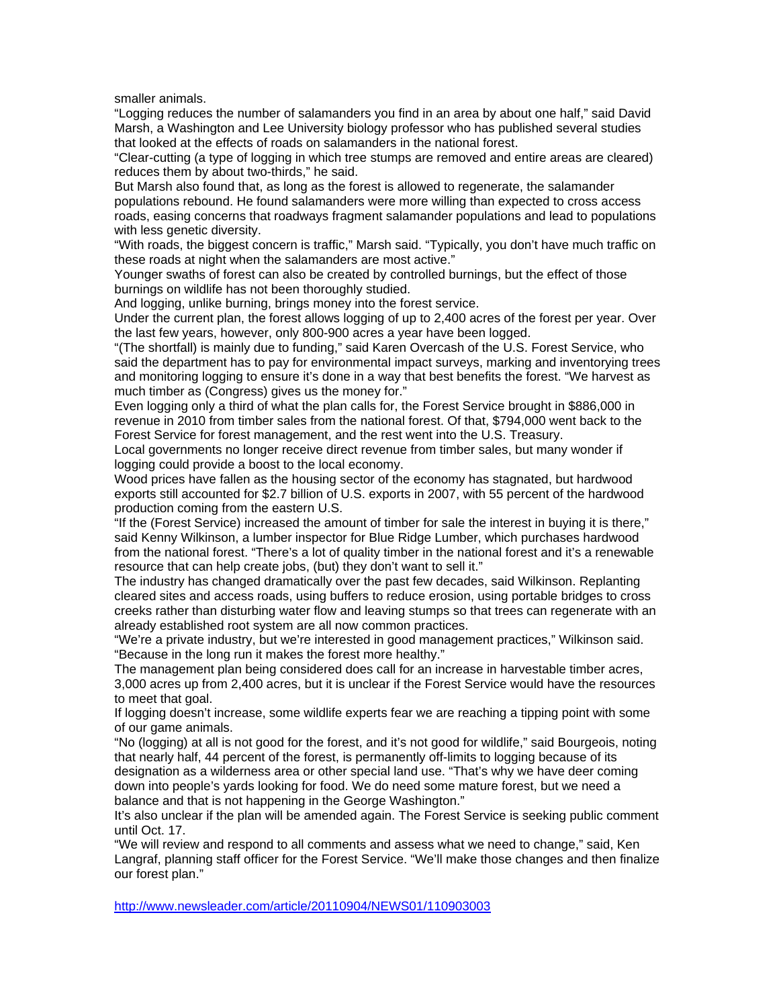smaller animals.

"Logging reduces the number of salamanders you find in an area by about one half," said David Marsh, a Washington and Lee University biology professor who has published several studies that looked at the effects of roads on salamanders in the national forest.

"Clear-cutting (a type of logging in which tree stumps are removed and entire areas are cleared) reduces them by about two-thirds," he said.

But Marsh also found that, as long as the forest is allowed to regenerate, the salamander populations rebound. He found salamanders were more willing than expected to cross access roads, easing concerns that roadways fragment salamander populations and lead to populations with less genetic diversity.

"With roads, the biggest concern is traffic," Marsh said. "Typically, you don't have much traffic on these roads at night when the salamanders are most active."

Younger swaths of forest can also be created by controlled burnings, but the effect of those burnings on wildlife has not been thoroughly studied.

And logging, unlike burning, brings money into the forest service.

Under the current plan, the forest allows logging of up to 2,400 acres of the forest per year. Over the last few years, however, only 800-900 acres a year have been logged.

"(The shortfall) is mainly due to funding," said Karen Overcash of the U.S. Forest Service, who said the department has to pay for environmental impact surveys, marking and inventorying trees and monitoring logging to ensure it's done in a way that best benefits the forest. "We harvest as much timber as (Congress) gives us the money for."

Even logging only a third of what the plan calls for, the Forest Service brought in \$886,000 in revenue in 2010 from timber sales from the national forest. Of that, \$794,000 went back to the Forest Service for forest management, and the rest went into the U.S. Treasury.

Local governments no longer receive direct revenue from timber sales, but many wonder if logging could provide a boost to the local economy.

Wood prices have fallen as the housing sector of the economy has stagnated, but hardwood exports still accounted for \$2.7 billion of U.S. exports in 2007, with 55 percent of the hardwood production coming from the eastern U.S.

"If the (Forest Service) increased the amount of timber for sale the interest in buying it is there," said Kenny Wilkinson, a lumber inspector for Blue Ridge Lumber, which purchases hardwood from the national forest. "There's a lot of quality timber in the national forest and it's a renewable resource that can help create jobs, (but) they don't want to sell it."

The industry has changed dramatically over the past few decades, said Wilkinson. Replanting cleared sites and access roads, using buffers to reduce erosion, using portable bridges to cross creeks rather than disturbing water flow and leaving stumps so that trees can regenerate with an already established root system are all now common practices.

"We're a private industry, but we're interested in good management practices," Wilkinson said. "Because in the long run it makes the forest more healthy."

The management plan being considered does call for an increase in harvestable timber acres, 3,000 acres up from 2,400 acres, but it is unclear if the Forest Service would have the resources to meet that goal.

If logging doesn't increase, some wildlife experts fear we are reaching a tipping point with some of our game animals.

"No (logging) at all is not good for the forest, and it's not good for wildlife," said Bourgeois, noting that nearly half, 44 percent of the forest, is permanently off-limits to logging because of its designation as a wilderness area or other special land use. "That's why we have deer coming down into people's yards looking for food. We do need some mature forest, but we need a balance and that is not happening in the George Washington."

It's also unclear if the plan will be amended again. The Forest Service is seeking public comment until Oct. 17.

"We will review and respond to all comments and assess what we need to change," said, Ken Langraf, planning staff officer for the Forest Service. "We'll make those changes and then finalize our forest plan."

<http://www.newsleader.com/article/20110904/NEWS01/110903003>